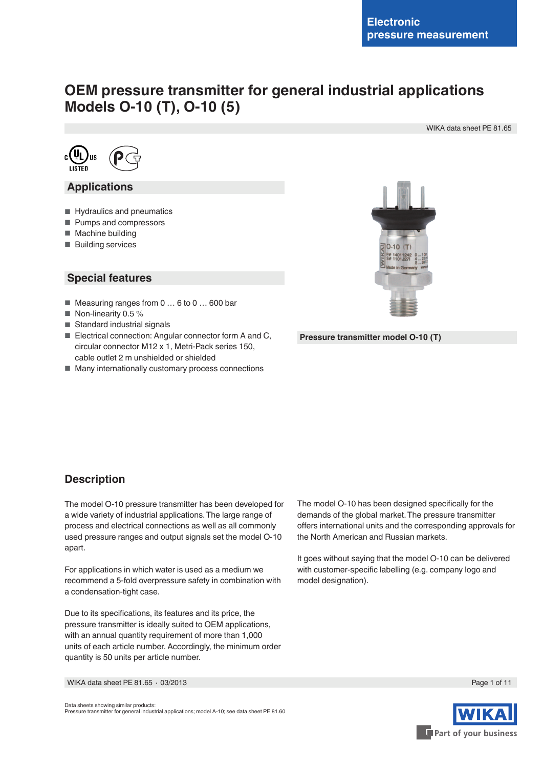# **OEM pressure transmitter for general industrial applications Models O-10 (T), O-10 (5)**

WIKA data sheet PE 81.65



## **Applications**

- Hydraulics and pneumatics
- Pumps and compressors
- Machine building
- Building services

## **Special features**

- Measuring ranges from 0 ... 6 to 0 ... 600 bar
- Non-linearity 0.5 %
- Standard industrial signals
- Electrical connection: Angular connector form A and C, circular connector M12 x 1, Metri-Pack series 150, cable outlet 2 m unshielded or shielded
- Many internationally customary process connections



**Pressure transmitter model O-10 (T)**

## **Description**

The model O-10 pressure transmitter has been developed for a wide variety of industrial applications. The large range of process and electrical connections as well as all commonly used pressure ranges and output signals set the model O-10 apart.

For applications in which water is used as a medium we recommend a 5-fold overpressure safety in combination with a condensation-tight case.

Due to its specifications, its features and its price, the pressure transmitter is ideally suited to OEM applications, with an annual quantity requirement of more than 1,000 units of each article number. Accordingly, the minimum order quantity is 50 units per article number.

The model O-10 has been designed specifically for the demands of the global market. The pressure transmitter offers international units and the corresponding approvals for the North American and Russian markets.

It goes without saying that the model O-10 can be delivered with customer-specific labelling (e.g. company logo and model designation).

WIKA data sheet PE 81.65 ∙ 03/2013 Page 1 of 11



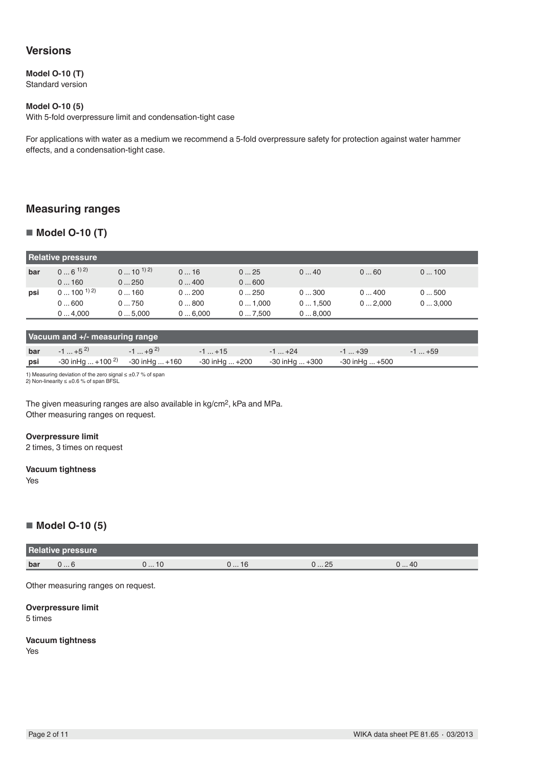## **Versions**

### **Model O-10 (T)**

Standard version

### **Model O-10 (5)**

With 5-fold overpressure limit and condensation-tight case

For applications with water as a medium we recommend a 5-fold overpressure safety for protection against water hammer effects, and a condensation-tight case.

## **Measuring ranges**

### ■ **Model O-10 (T)**

| <b>Relative pressure</b> |                    |                   |        |        |        |        |        |
|--------------------------|--------------------|-------------------|--------|--------|--------|--------|--------|
| bar                      | $0 \dots 6^{(1)}2$ | $0 \dots 10^{12}$ | 016    | 025    | 040    | 060    | 0100   |
|                          | 0160               | 0250              | 0400   | 0600   |        |        |        |
| psi                      | $0 \dots 100^{12}$ | 0160              | 0200   | 0250   | 0300   | 0400   | 0500   |
|                          | 0600               | 0750              | 0800   | 01.000 | 01,500 | 02.000 | 03,000 |
|                          | 04.000             | 05.000            | 06.000 | 07.500 | 08,000 |        |        |

| Vacuum and +/- measuring range |                                           |               |                |                |                |         |  |
|--------------------------------|-------------------------------------------|---------------|----------------|----------------|----------------|---------|--|
| bar                            | $-1$ +5 <sup>2)</sup>                     | $-1$ $+9^{2}$ | $-1+15$        | $-1$ +24       | $-1+39$        | $-1+59$ |  |
| psi                            | $-30$ in Hg $+100^{2}$ $-30$ in Hg $+160$ |               | -30 inHg  +200 | -30 inHg  +300 | -30 inHg  +500 |         |  |

1) Measuring deviation of the zero signal ≤ ±0.7 % of span 2) Non-linearity ≤ ±0.6 % of span BFSL

The given measuring ranges are also available in kg/cm<sup>2</sup>, kPa and MPa. Other measuring ranges on request.

#### **Overpressure limit**

2 times, 3 times on request

#### **Vacuum tightness**

Yes

## ■ **Model O-10 (5)**

| <b>Relative pressure</b> |      |             |             |                               |     |
|--------------------------|------|-------------|-------------|-------------------------------|-----|
| bar                      | v  v | <b>U</b> IU | <b>U</b> 10 | つに<br>$\cup$ $\subset$ $\cup$ | 040 |

Other measuring ranges on request.

**Overpressure limit** 5 times

## **Vacuum tightness**

Yes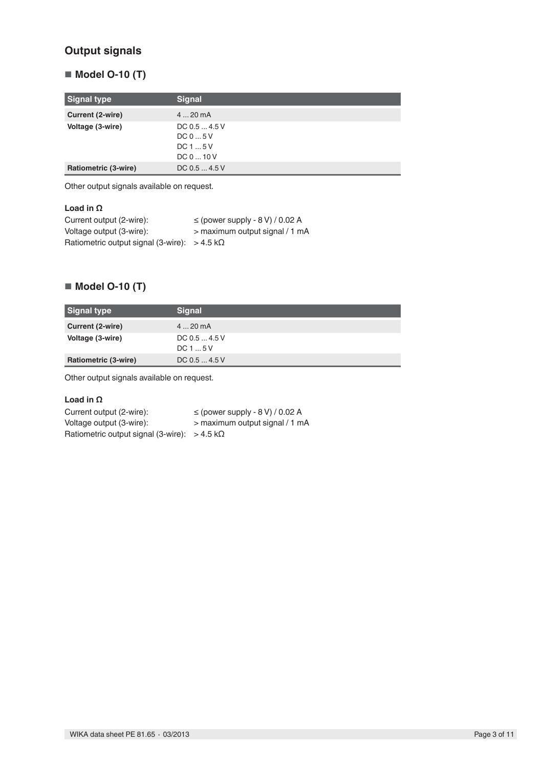## **Output signals**

## ■ **Model O-10 (T)**

| Signal type          | <b>Signal</b>                                 |
|----------------------|-----------------------------------------------|
| Current (2-wire)     | $420$ mA                                      |
| Voltage (3-wire)     | DC 0.5  4.5 V<br>DC05V<br>DC15V<br>DC 0  10 V |
| Ratiometric (3-wire) | DC 0.5  4.5 V                                 |

Other output signals available on request.

| Load in $\Omega$                                            |                                     |
|-------------------------------------------------------------|-------------------------------------|
| Current output (2-wire):                                    | $\le$ (power supply - 8 V) / 0.02 A |
| Voltage output (3-wire):                                    | > maximum output signal / 1 mA      |
| Ratiometric output signal (3-wire): $> 4.5 \text{ k}\Omega$ |                                     |

## ■ **Model O-10 (T)**

| Signal type          | <b>Signal</b>          |
|----------------------|------------------------|
| Current (2-wire)     | $420$ mA               |
| Voltage (3-wire)     | DC 0.5  4.5 V<br>DC15V |
| Ratiometric (3-wire) | DC 0.5  4.5 V          |

Other output signals available on request.

### **Load in Ω**

| Current output (2-wire):                                    | $\le$ (power supply - 8 V) / 0.02 A |
|-------------------------------------------------------------|-------------------------------------|
| Voltage output (3-wire):                                    | > maximum output signal / 1 mA      |
| Ratiometric output signal (3-wire): $> 4.5 \text{ k}\Omega$ |                                     |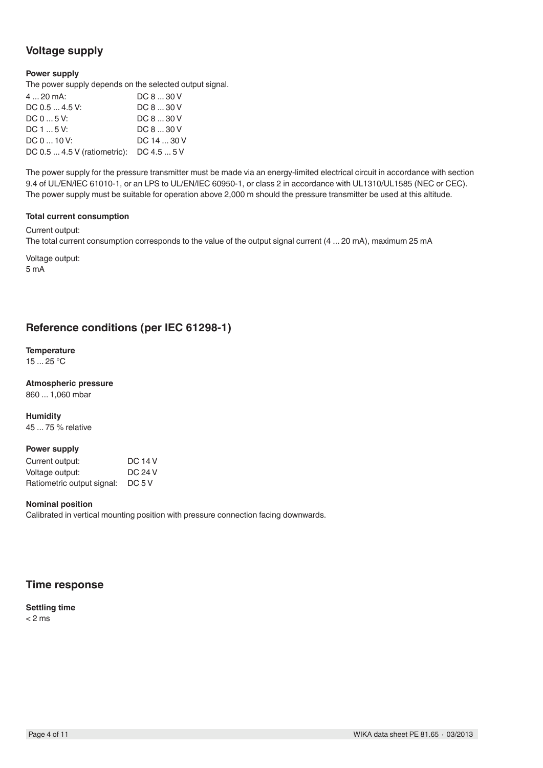## **Voltage supply**

### **Power supply**

The power supply depends on the selected output signal.

| $420$ mA:                                | DC 8  30 V  |
|------------------------------------------|-------------|
| DC 0.5  4.5 V:                           | DC 8  30 V  |
| DC 0  5 V:                               | DC 8  30 V  |
| DC 1  5 V:                               | DC 8  30 V  |
| DC 0  10 V:                              | DC 14  30 V |
| DC 0.5  4.5 V (ratiometric): DC 4.5  5 V |             |

The power supply for the pressure transmitter must be made via an energy-limited electrical circuit in accordance with section 9.4 of UL/EN/IEC 61010-1, or an LPS to UL/EN/IEC 60950-1, or class 2 in accordance with UL1310/UL1585 (NEC or CEC). The power supply must be suitable for operation above 2,000 m should the pressure transmitter be used at this altitude.

#### **Total current consumption**

Current output:

The total current consumption corresponds to the value of the output signal current (4 ... 20 mA), maximum 25 mA

Voltage output: 5 mA

## **Reference conditions (per IEC 61298-1)**

**Temperature** 15 ... 25 °C

**Atmospheric pressure** 860 ... 1,060 mbar

**Humidity**

45 ... 75 % relative

### **Power supply**

| Current output:            | <b>DC 14 V</b> |
|----------------------------|----------------|
| Voltage output:            | <b>DC 24 V</b> |
| Ratiometric output signal: | DC 5 V         |

### **Nominal position**

Calibrated in vertical mounting position with pressure connection facing downwards.

## **Time response**

**Settling time**  $< 2$  ms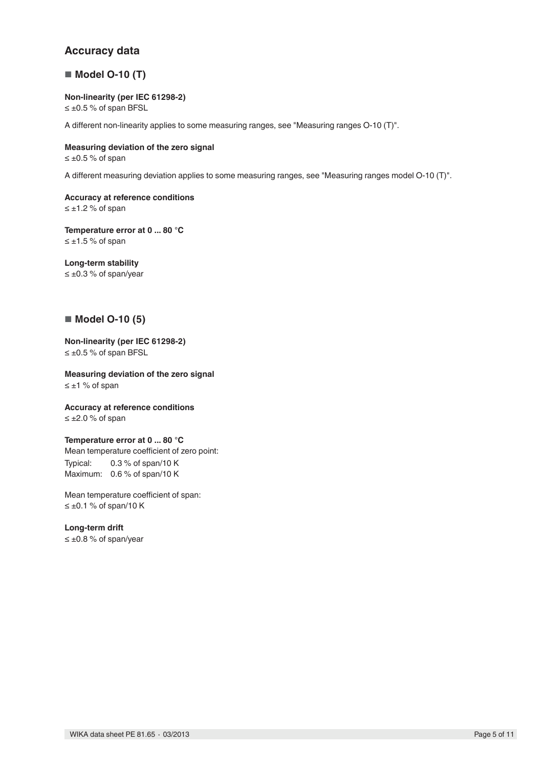## **Accuracy data**

## ■ **Model O-10 (T)**

### **Non-linearity (per IEC 61298-2)**

≤ ±0.5 % of span BFSL

A different non-linearity applies to some measuring ranges, see "Measuring ranges O-10 (T)".

## **Measuring deviation of the zero signal**

 $≤ ±0.5 %$  of span

A different measuring deviation applies to some measuring ranges, see "Measuring ranges model O-10 (T)".

**Accuracy at reference conditions** ≤ ±1.2 % of span

**Temperature error at 0 ... 80 °C**  $≤ ±1.5 %$  of span

## **Long-term stability**

≤ ±0.3 % of span/year

## ■ **Model O-10 (5)**

**Non-linearity (per IEC 61298-2)** ≤ ±0.5 % of span BFSL

**Measuring deviation of the zero signal** ≤ ±1 % of span

**Accuracy at reference conditions** ≤ ±2.0 % of span

### **Temperature error at 0 ... 80 °C**

Mean temperature coefficient of zero point: Typical: 0.3 % of span/10 K Maximum: 0.6 % of span/10 K

Mean temperature coefficient of span:  $≤ ±0.1 %$  of span/10 K

### **Long-term drift**

≤ ±0.8 % of span/year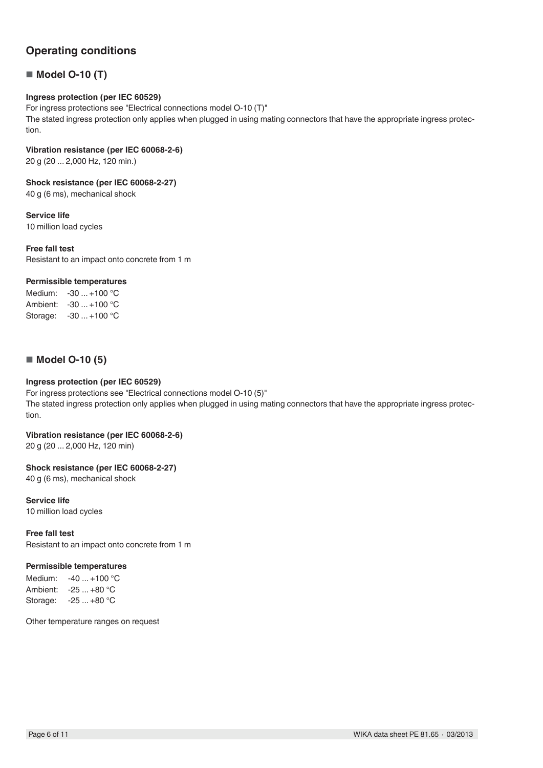## **Operating conditions**

## ■ **Model O-10 (T)**

### **Ingress protection (per IEC 60529)**

For ingress protections see "Electrical connections model O-10 (T)" The stated ingress protection only applies when plugged in using mating connectors that have the appropriate ingress protection.

#### **Vibration resistance (per IEC 60068-2-6)**

20 g (20 ... 2,000 Hz, 120 min.)

#### **Shock resistance (per IEC 60068-2-27)**

40 g (6 ms), mechanical shock

#### **Service life**

10 million load cycles

#### **Free fall test**

Resistant to an impact onto concrete from 1 m

### **Permissible temperatures**

Medium: -30 ... +100 °C Ambient: -30 ... +100 °C Storage: -30 ... +100 °C

### ■ **Model O-10 (5)**

### **Ingress protection (per IEC 60529)**

For ingress protections see "Electrical connections model O-10 (5)" The stated ingress protection only applies when plugged in using mating connectors that have the appropriate ingress protection.

## **Vibration resistance (per IEC 60068-2-6)**

20 g (20 ... 2,000 Hz, 120 min)

### **Shock resistance (per IEC 60068-2-27)**

40 g (6 ms), mechanical shock

#### **Service life**

10 million load cycles

#### **Free fall test**

Resistant to an impact onto concrete from 1 m

### **Permissible temperatures**

Medium: -40 ... +100 °C Ambient: -25 ... +80 °C Storage: -25 ... +80 °C

Other temperature ranges on request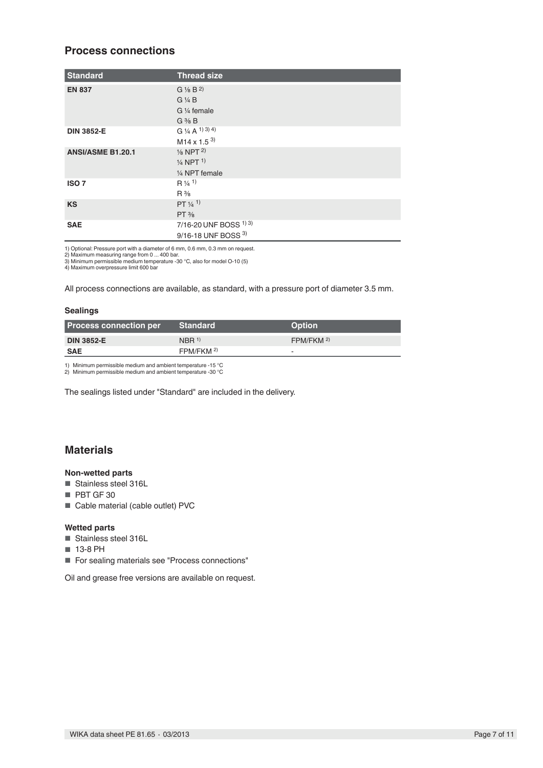## **Process connections**

| <b>Standard</b>          | <b>Thread size</b>               |
|--------------------------|----------------------------------|
| <b>EN 837</b>            | $G\frac{1}{8}B^{2}$              |
|                          | $G\frac{1}{4}B$                  |
|                          | G 1/4 female                     |
|                          | $G \frac{3}{8} B$                |
| <b>DIN 3852-E</b>        | G $\frac{1}{4}$ A $^{(1)}$ 3) 4) |
|                          | $M14 \times 1.5^{3}$             |
| <b>ANSI/ASME B1.20.1</b> | $\frac{1}{8}$ NPT $^{2)}$        |
|                          | $\frac{1}{4}$ NPT <sup>1</sup>   |
|                          | 1/4 NPT female                   |
| ISO <sub>7</sub>         | $R \frac{1}{4}$ <sup>1)</sup>    |
|                          | $R\frac{3}{8}$                   |
| <b>KS</b>                | PT 1/4 1                         |
|                          | $PT\frac{3}{8}$                  |
| <b>SAE</b>               | 7/16-20 UNF BOSS 1) 3)           |
|                          | 9/16-18 UNF BOSS 3)              |

1) Optional: Pressure port with a diameter of 6 mm, 0.6 mm, 0.3 mm on request.<br>2) Maximum measuring range from 0 ... 400 bar.<br>3) Minimum permissible medium temperature -30 °C, also for model O-10 (5)<br>4) Maximum overpressur

All process connections are available, as standard, with a pressure port of diameter 3.5 mm.

#### **Sealings**

| <b>Process connection per</b> | <b>Standard</b>       | <b>Option</b>           |
|-------------------------------|-----------------------|-------------------------|
| <b>DIN 3852-E</b>             | $NBR$ <sup>1)</sup>   | $FPM/FKM$ <sup>2)</sup> |
| <b>SAE</b>                    | FPM/FKM <sup>2)</sup> |                         |

1) Minimum permissible medium and ambient temperature -15 °C 2) Minimum permissible medium and ambient temperature -30 °C

The sealings listed under "Standard" are included in the delivery.

## **Materials**

#### **Non-wetted parts**

- Stainless steel 316L
- PBT GF 30
- Cable material (cable outlet) PVC

#### **Wetted parts**

- Stainless steel 316L
- 13-8 PH
- For sealing materials see "Process connections"

Oil and grease free versions are available on request.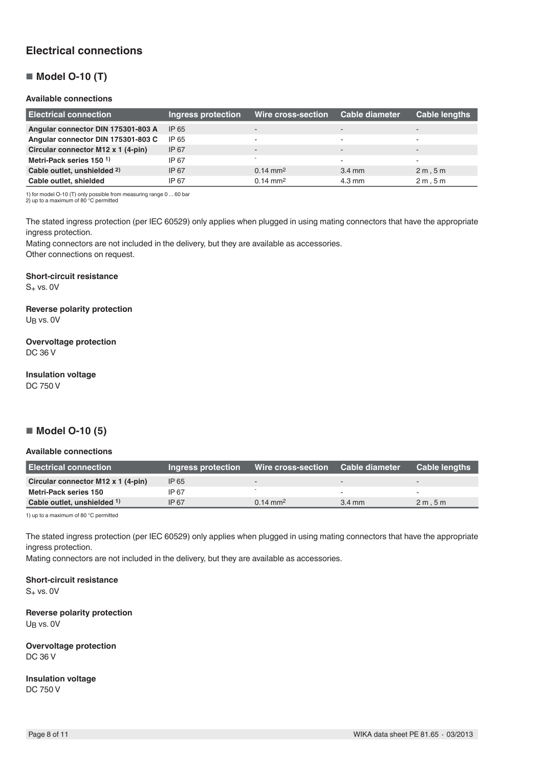## **Electrical connections**

## ■ **Model O-10 (T)**

#### **Available connections**

| <b>Electrical connection</b>       | Ingress protection | Wire cross-section  | <b>Cable diameter</b>    | Cable lengths            |
|------------------------------------|--------------------|---------------------|--------------------------|--------------------------|
| Angular connector DIN 175301-803 A | IP 65              |                     | -                        | $\overline{\phantom{a}}$ |
| Angular connector DIN 175301-803 C | IP 65              |                     | ۰                        | $\overline{\phantom{0}}$ |
| Circular connector M12 x 1 (4-pin) | IP 67              |                     | $\overline{\phantom{a}}$ | $\overline{\phantom{a}}$ |
| Metri-Pack series 150 <sup>1</sup> | IP 67              |                     |                          | $\overline{\phantom{a}}$ |
| Cable outlet, unshielded 2)        | IP 67              | $0.14 \text{ mm}^2$ | $3.4 \text{ mm}$         | 2m, 5m                   |
| Cable outlet, shielded             | IP 67              | $0.14 \text{ mm}^2$ | $4.3 \text{ mm}$         | 2m.5m                    |

1) for model O-10 (T) only possible from measuring range 0 ... 60 bar 2) up to a maximum of 80 °C permitted

The stated ingress protection (per IEC 60529) only applies when plugged in using mating connectors that have the appropriate ingress protection.

Mating connectors are not included in the delivery, but they are available as accessories. Other connections on request.

#### **Short-circuit resistance**

 $S_+$  vs. 0V

## **Reverse polarity protection**

UB vs. 0V

## **Overvoltage protection**

DC 36 V

## **Insulation voltage**

DC 750 V

## ■ **Model O-10 (5)**

### **Available connections**

| <b>Electrical connection</b>       | Ingress protection | Wire cross-section  | <b>Cable diameter</b>    | <b>Cable lengths</b> |
|------------------------------------|--------------------|---------------------|--------------------------|----------------------|
| Circular connector M12 x 1 (4-pin) | IP 65              |                     | $\sim$                   |                      |
| Metri-Pack series 150              | IP 67              |                     | $\overline{\phantom{0}}$ |                      |
| Cable outlet, unshielded 1)        | IP 67              | $0.14 \text{ mm}^2$ | $3.4 \text{ mm}$         | 2m.5m                |

1) up to a maximum of 80 °C permitted

The stated ingress protection (per IEC 60529) only applies when plugged in using mating connectors that have the appropriate ingress protection.

Mating connectors are not included in the delivery, but they are available as accessories.

**Short-circuit resistance**  $S_+$  vs. 0V

**Reverse polarity protection** UB vs. 0V

**Overvoltage protection** DC 36 V

**Insulation voltage** DC 750 V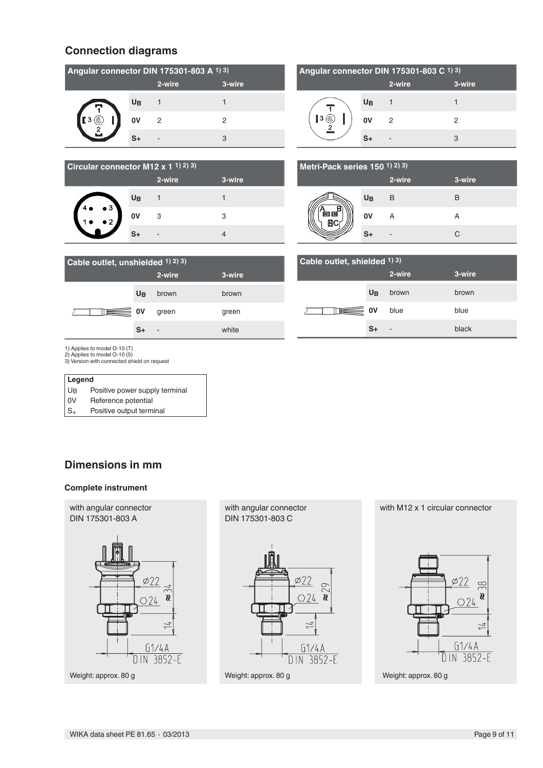## **Connection diagrams**

| Angular connector DIN 175301-803 A 1) 3) |           |        |        |
|------------------------------------------|-----------|--------|--------|
|                                          |           | 2-wire | 3-wire |
|                                          | <b>UB</b> |        |        |
|                                          | 0V        | 2      | 2      |
|                                          | ۹T        |        | З      |

| Angular connector DIN 175301-803 C 1) 3) |      |        |        |
|------------------------------------------|------|--------|--------|
|                                          |      | 2-wire | 3-wire |
|                                          | UB   |        |        |
| Ι3                                       | 0V   | 2      | 2      |
|                                          | $S+$ |        | З      |

| Circular connector M12 x 1 1) 2) 3) |                |        |        |
|-------------------------------------|----------------|--------|--------|
|                                     |                | 2-wire | 3-wire |
|                                     | U <sub>B</sub> |        |        |
| $\bullet$ 3<br>ر,                   | 0V             | 3      | З      |
|                                     |                |        |        |

| Metri-Pack series 150 1) 2) 3) |                |        |        |  |
|--------------------------------|----------------|--------|--------|--|
|                                |                | 2-wire | 3-wire |  |
|                                | U <sub>B</sub> | B      | B      |  |
| 自国                             | 0V             | А      |        |  |
|                                |                |        | r      |  |

| Cable outlet, unshielded 1) 2) 3) |                |        |        |
|-----------------------------------|----------------|--------|--------|
|                                   |                | 2-wire | 3-wire |
|                                   | U <sub>B</sub> | brown  | brown  |
|                                   | $\bar{\Xi}$ ov | green  | green  |
|                                   | S+             | ٠      | white  |

| Cable outlet, shielded $(1)$ 3) |                |        |        |
|---------------------------------|----------------|--------|--------|
|                                 |                | 2-wire | 3-wire |
|                                 | U <sub>B</sub> | brown  | brown  |
|                                 | ∃ ov           | blue   | blue   |
|                                 | S+             | ٠      | black  |

1) Applies to model O-10 (T)

2) Applies to model O-10 (5) 3) Version with connected shield on request

| Legend |                                |
|--------|--------------------------------|
| UB     | Positive power supply terminal |
|        |                                |

0V Reference potential

 $S_{+}$  Positive output terminal

## **Dimensions in mm**

### **Complete instrument**



with angular connector DIN 175301-803 C



with M12 x 1 circular connector

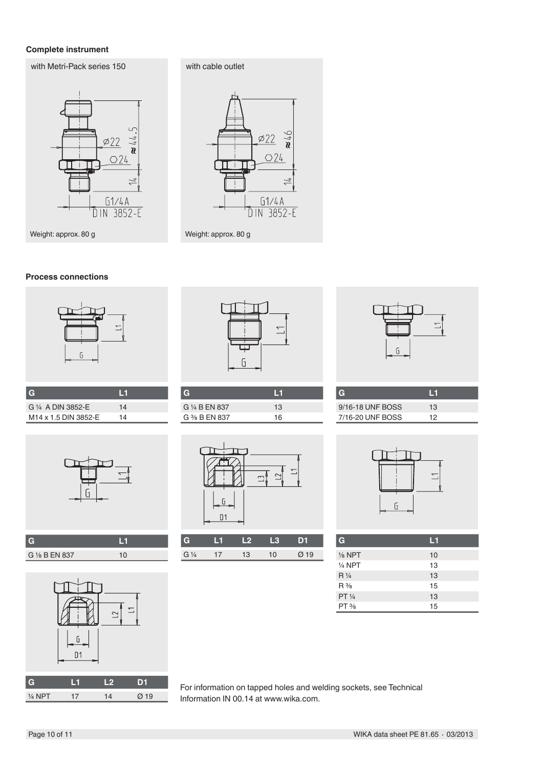### **Complete instrument**

with Metri-Pack series 150



with cable outlet  $\cancel{\phi}22$  $O24$ П ٦Ï. П  $\overline{1}$ 

 $\underbrace{61/4A}_{\text{DIN 3852-E}}$ 

Weight: approx. 80 g

I

### **Process connections**



| $\overline{G}$                   | I 1 |  |
|----------------------------------|-----|--|
| G 1/4 A DIN 3852-F               | 14  |  |
| M <sub>14</sub> x 1.5 DIN 3852-E | 14  |  |



| G 1/8 B EN 837 |  |
|----------------|--|



|                              | For information on ta |
|------------------------------|-----------------------|
| 17<br>$\varnothing$ 19<br>14 | Information IN 00.14  |



| G              | ш  |
|----------------|----|
| G 1/4 B EN 837 | 13 |
| G % B EN 837   | 16 |



| G              |   | - 10 |    |    |
|----------------|---|------|----|----|
| $G\frac{1}{4}$ | T | 3    | 10 | 19 |



| 9/16-18 UNF BOSS | 13  |
|------------------|-----|
| 7/16-20 UNF BOSS | 1 2 |



| G                 | L1 |
|-------------------|----|
| $\frac{1}{8}$ NPT | 10 |
| $1/4$ NPT         | 13 |
| $R\frac{1}{4}$    | 13 |
| $R\frac{3}{8}$    | 15 |
| PT 1/4            | 13 |
| $PT\frac{3}{8}$   | 15 |

apped holes and welding sockets, see Technical 4 at www.wika.com.

 $\frac{1}{4}$  NPT